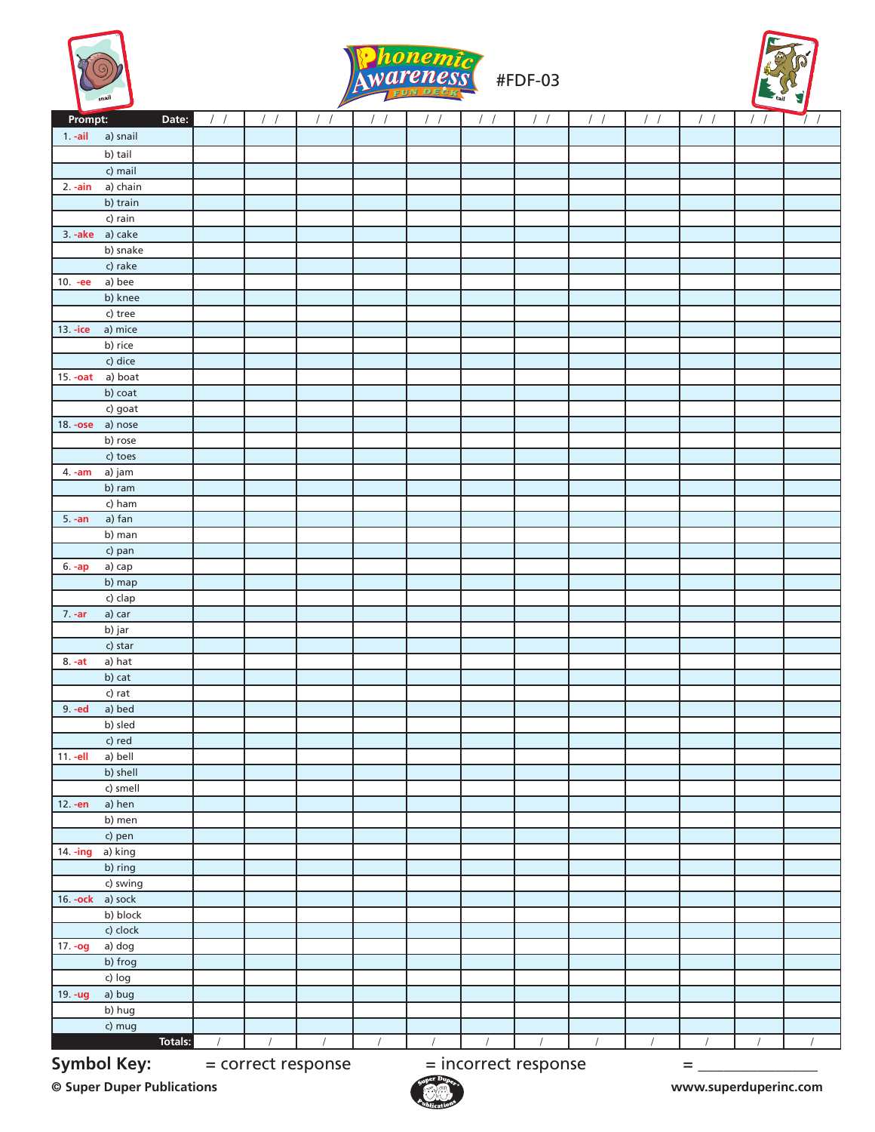





|                                  |               |            | $\overline{\phantom{a}}$ |                  |                  |                        |                      |            |            |  |
|----------------------------------|---------------|------------|--------------------------|------------------|------------------|------------------------|----------------------|------------|------------|--|
| Prompt:<br>Date:                 | $\frac{1}{2}$ | $\sqrt{ }$ | $\sqrt{ }$               | $\left  \right $ | $\left  \right $ | $\left  \quad \right $ |                      | $\sqrt{2}$ | $\sqrt{ }$ |  |
| a) snail<br>$1. -ail$            |               |            |                          |                  |                  |                        |                      |            |            |  |
| b) tail                          |               |            |                          |                  |                  |                        |                      |            |            |  |
| c) mail                          |               |            |                          |                  |                  |                        |                      |            |            |  |
| a) chain<br>$2. -ain$            |               |            |                          |                  |                  |                        |                      |            |            |  |
| b) train                         |               |            |                          |                  |                  |                        |                      |            |            |  |
| c) rain                          |               |            |                          |                  |                  |                        |                      |            |            |  |
| 3. -ake a) cake                  |               |            |                          |                  |                  |                        |                      |            |            |  |
| b) snake                         |               |            |                          |                  |                  |                        |                      |            |            |  |
| c) rake                          |               |            |                          |                  |                  |                        |                      |            |            |  |
| a) bee<br>$10. -ee$              |               |            |                          |                  |                  |                        |                      |            |            |  |
| b) knee                          |               |            |                          |                  |                  |                        |                      |            |            |  |
| c) tree                          |               |            |                          |                  |                  |                        |                      |            |            |  |
| 13. -ice<br>a) mice              |               |            |                          |                  |                  |                        |                      |            |            |  |
| b) rice                          |               |            |                          |                  |                  |                        |                      |            |            |  |
| c) dice                          |               |            |                          |                  |                  |                        |                      |            |            |  |
|                                  |               |            |                          |                  |                  |                        |                      |            |            |  |
| a) boat<br>$15. -oat$<br>b) coat |               |            |                          |                  |                  |                        |                      |            |            |  |
|                                  |               |            |                          |                  |                  |                        |                      |            |            |  |
| c) goat                          |               |            |                          |                  |                  |                        |                      |            |            |  |
| 18. -ose a) nose                 |               |            |                          |                  |                  |                        |                      |            |            |  |
| b) rose                          |               |            |                          |                  |                  |                        |                      |            |            |  |
| c) toes                          |               |            |                          |                  |                  |                        |                      |            |            |  |
| a) jam<br>$4. -am$               |               |            |                          |                  |                  |                        |                      |            |            |  |
| b) ram                           |               |            |                          |                  |                  |                        |                      |            |            |  |
| c) ham                           |               |            |                          |                  |                  |                        |                      |            |            |  |
| a) fan<br>$5. -an$               |               |            |                          |                  |                  |                        |                      |            |            |  |
| $\overline{b}$ ) man             |               |            |                          |                  |                  |                        |                      |            |            |  |
| c) pan                           |               |            |                          |                  |                  |                        |                      |            |            |  |
| a) cap<br>$6. -ap$               |               |            |                          |                  |                  |                        |                      |            |            |  |
| b) map                           |               |            |                          |                  |                  |                        |                      |            |            |  |
| c) clap                          |               |            |                          |                  |                  |                        |                      |            |            |  |
| a) car<br>$7. -ar$               |               |            |                          |                  |                  |                        |                      |            |            |  |
| b) jar                           |               |            |                          |                  |                  |                        |                      |            |            |  |
| c) star                          |               |            |                          |                  |                  |                        |                      |            |            |  |
| a) hat<br>$8. -at$               |               |            |                          |                  |                  |                        |                      |            |            |  |
| b) cat                           |               |            |                          |                  |                  |                        |                      |            |            |  |
| c) rat                           |               |            |                          |                  |                  |                        |                      |            |            |  |
| a) bed<br>9. -ed                 |               |            |                          |                  |                  |                        |                      |            |            |  |
| b) sled                          |               |            |                          |                  |                  |                        |                      |            |            |  |
| $c)$ red                         |               |            |                          |                  |                  |                        |                      |            |            |  |
| $11.-ell$<br>a) bell             |               |            |                          |                  |                  |                        |                      |            |            |  |
| b) shell                         |               |            |                          |                  |                  |                        |                      |            |            |  |
| c) smell                         |               |            |                          |                  |                  |                        |                      |            |            |  |
| a) hen<br>12. - en               |               |            |                          |                  |                  |                        |                      |            |            |  |
| b) men                           |               |            |                          |                  |                  |                        |                      |            |            |  |
| c) pen                           |               |            |                          |                  |                  |                        |                      |            |            |  |
| a) king<br>$14 - ing$            |               |            |                          |                  |                  |                        |                      |            |            |  |
| b) ring                          |               |            |                          |                  |                  |                        |                      |            |            |  |
| c) swing                         |               |            |                          |                  |                  |                        |                      |            |            |  |
| a) sock<br>16. - ock             |               |            |                          |                  |                  |                        |                      |            |            |  |
| b) block                         |               |            |                          |                  |                  |                        |                      |            |            |  |
| c) clock                         |               |            |                          |                  |                  |                        |                      |            |            |  |
| $17. -og$<br>a) dog              |               |            |                          |                  |                  |                        |                      |            |            |  |
| b) frog                          |               |            |                          |                  |                  |                        |                      |            |            |  |
| c) log                           |               |            |                          |                  |                  |                        |                      |            |            |  |
| a) bug<br>19. - ug               |               |            |                          |                  |                  |                        |                      |            |            |  |
| b) hug                           |               |            |                          |                  |                  |                        |                      |            |            |  |
| c) mug                           |               |            |                          |                  |                  |                        |                      |            |            |  |
| Totals:                          |               |            |                          | $\sqrt{ }$       |                  |                        |                      | $\prime$   |            |  |
| <b>Symbol Key:</b>               |               |            |                          |                  |                  |                        |                      |            |            |  |
|                                  |               |            | = correct response       |                  |                  |                        | = incorrect response |            | Ξ          |  |

**© Super Duper Publications www.superduperinc.com**